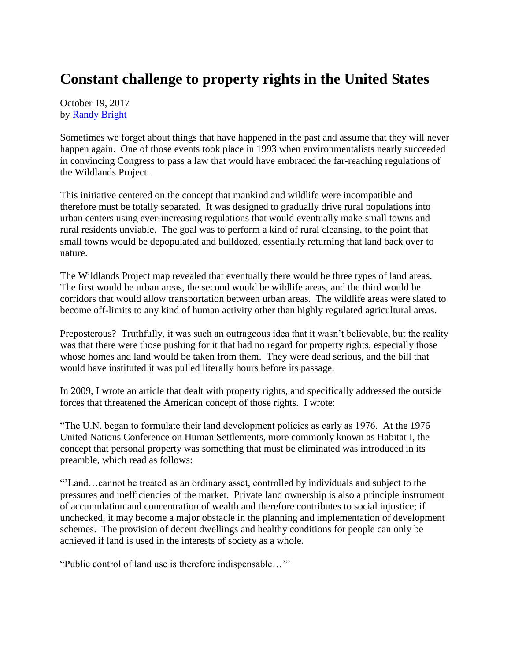## **Constant challenge to property rights in the United States**

October 19, 2017 by [Randy Bright](http://tulsabeacon.com/writers/randy-bright/)

Sometimes we forget about things that have happened in the past and assume that they will never happen again. One of those events took place in 1993 when environmentalists nearly succeeded in convincing Congress to pass a law that would have embraced the far-reaching regulations of the Wildlands Project.

This initiative centered on the concept that mankind and wildlife were incompatible and therefore must be totally separated. It was designed to gradually drive rural populations into urban centers using ever-increasing regulations that would eventually make small towns and rural residents unviable. The goal was to perform a kind of rural cleansing, to the point that small towns would be depopulated and bulldozed, essentially returning that land back over to nature.

The Wildlands Project map revealed that eventually there would be three types of land areas. The first would be urban areas, the second would be wildlife areas, and the third would be corridors that would allow transportation between urban areas. The wildlife areas were slated to become off-limits to any kind of human activity other than highly regulated agricultural areas.

Preposterous? Truthfully, it was such an outrageous idea that it wasn't believable, but the reality was that there were those pushing for it that had no regard for property rights, especially those whose homes and land would be taken from them. They were dead serious, and the bill that would have instituted it was pulled literally hours before its passage.

In 2009, I wrote an article that dealt with property rights, and specifically addressed the outside forces that threatened the American concept of those rights. I wrote:

"The U.N. began to formulate their land development policies as early as 1976. At the 1976 United Nations Conference on Human Settlements, more commonly known as Habitat I, the concept that personal property was something that must be eliminated was introduced in its preamble, which read as follows:

"'Land…cannot be treated as an ordinary asset, controlled by individuals and subject to the pressures and inefficiencies of the market. Private land ownership is also a principle instrument of accumulation and concentration of wealth and therefore contributes to social injustice; if unchecked, it may become a major obstacle in the planning and implementation of development schemes. The provision of decent dwellings and healthy conditions for people can only be achieved if land is used in the interests of society as a whole.

"Public control of land use is therefore indispensable…'"